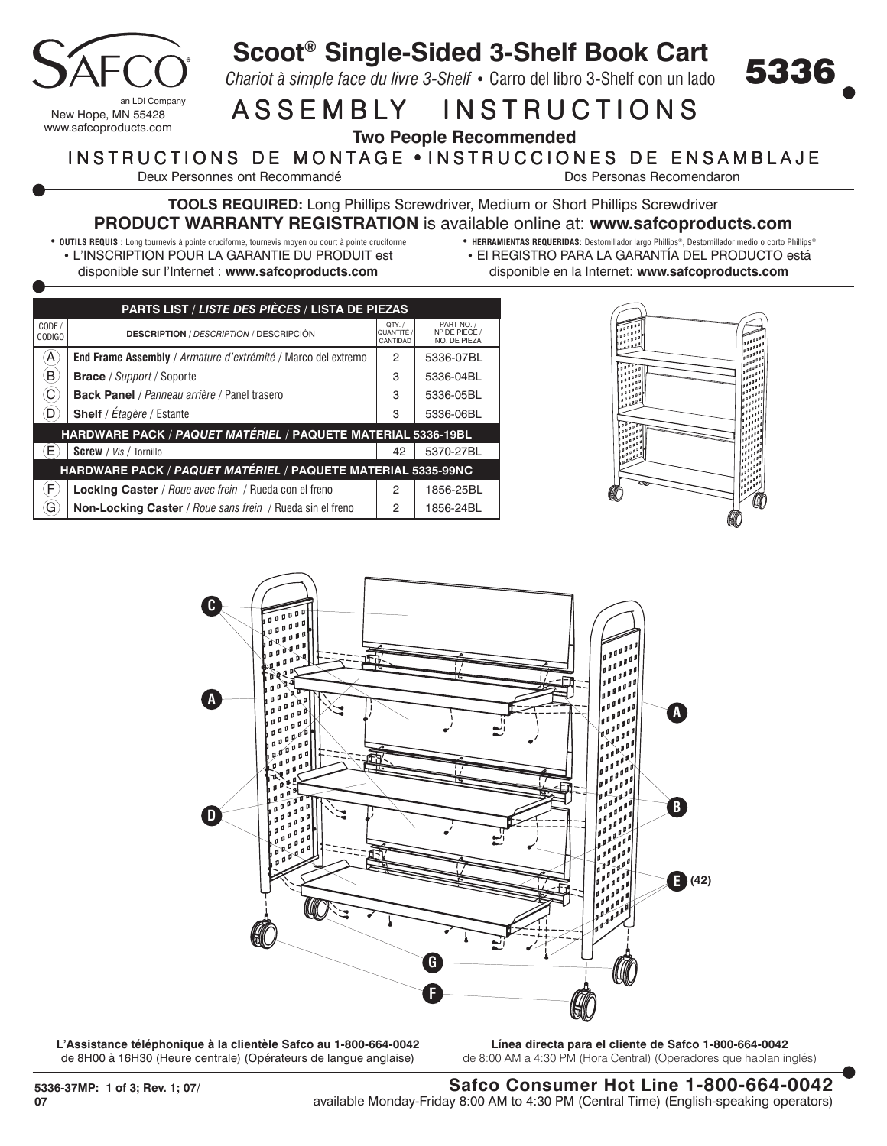

## **Scoot® Single-Sided 3-Shelf Book Cart**

*Chariot à simple face du livre 3-Shelf* **•** Carro del libro 3-Shelf con un lado

## ASSEMBLY INSTRUCTIONS

**Two People Recommended**

## INSTRUCTIONS DE MONTAGE . INSTRUCCIONES DE ENSAMBLAJE

Deux Personnes ont Recommandé de la communité de la communité de Dos Personas Recomendaron

5336

**TOOLS REQUIRED:** Long Phillips Screwdriver, Medium or Short Phillips Screwdriver **PRODUCT WARRANTY REGISTRATION** is available online at: **www.safcoproducts.com**

- **OUTILS REQUIS :** Long tournevis à pointe cruciforme, tournevis moyen ou court à pointe cruciforme • L'INSCRIPTION POUR LA GARANTIE DU PRODUIT est disponible sur l'Internet : **www.safcoproducts.com**
- **HERRAMIENTAS REQUERIDAS:** Destornillador largo Phillips®, Destornillador medio o corto Phillips® • El REGISTRO PARA LA GARANTÍA DEL PRODUCTO está disponible en la Internet: **www.safcoproducts.com**

| <b>PARTS LIST / LISTE DES PIÈCES / LISTA DE PIEZAS</b>       |                                                               |                                  |                                             |
|--------------------------------------------------------------|---------------------------------------------------------------|----------------------------------|---------------------------------------------|
| CODE /<br><b>CODIGO</b>                                      | <b>DESCRIPTION</b> / <i>DESCRIPTION</i> / DESCRIPCIÓN         | QTY. /<br>QUANTITÉ /<br>CANTIDAD | PART NO. /<br>N° DE PIECE /<br>NO. DE PIEZA |
| A                                                            | End Frame Assembly / Armature d'extrémité / Marco del extremo | 2                                | 5336-07BL                                   |
| Β,                                                           | <b>Brace</b> / Support / Soporte                              | 3                                | 5336-04BL                                   |
| C                                                            | <b>Back Panel</b> / Panneau arrière / Panel trasero           | 3                                | 5336-05BL                                   |
| D                                                            | <b>Shelf</b> / Étagère / Estante                              | 3                                | 5336-06BL                                   |
| HARDWARE PACK / PAQUET MATÉRIEL / PAQUETE MATERIAL 5336-19BL |                                                               |                                  |                                             |
|                                                              | <b>Screw</b> / Vis / Tornillo                                 | 42                               | 5370-27BL                                   |
| HARDWARE PACK / PAQUET MATÉRIEL / PAQUETE MATERIAL 5335-99NC |                                                               |                                  |                                             |
| F                                                            | <b>Locking Caster</b> / Roue avec frein / Rueda con el freno  | 2                                | 1856-25BL                                   |
| G                                                            | Non-Locking Caster / Roue sans frein / Rueda sin el freno     | 2                                | 1856-24BL                                   |





**L'Assistance téléphonique à la clientèle Safco au 1-800-664-0042** de 8H00 à 16H30 (Heure centrale) (Opérateurs de langue anglaise)

**Línea directa para el cliente de Safco 1-800-664-0042** de 8:00 AM a 4:30 PM (Hora Central) (Operadores que hablan inglés)

**Safco Consumer Hot Line 1-800-664-0042** available Monday-Friday 8:00 AM to 4:30 PM (Central Time) (English-speaking operators)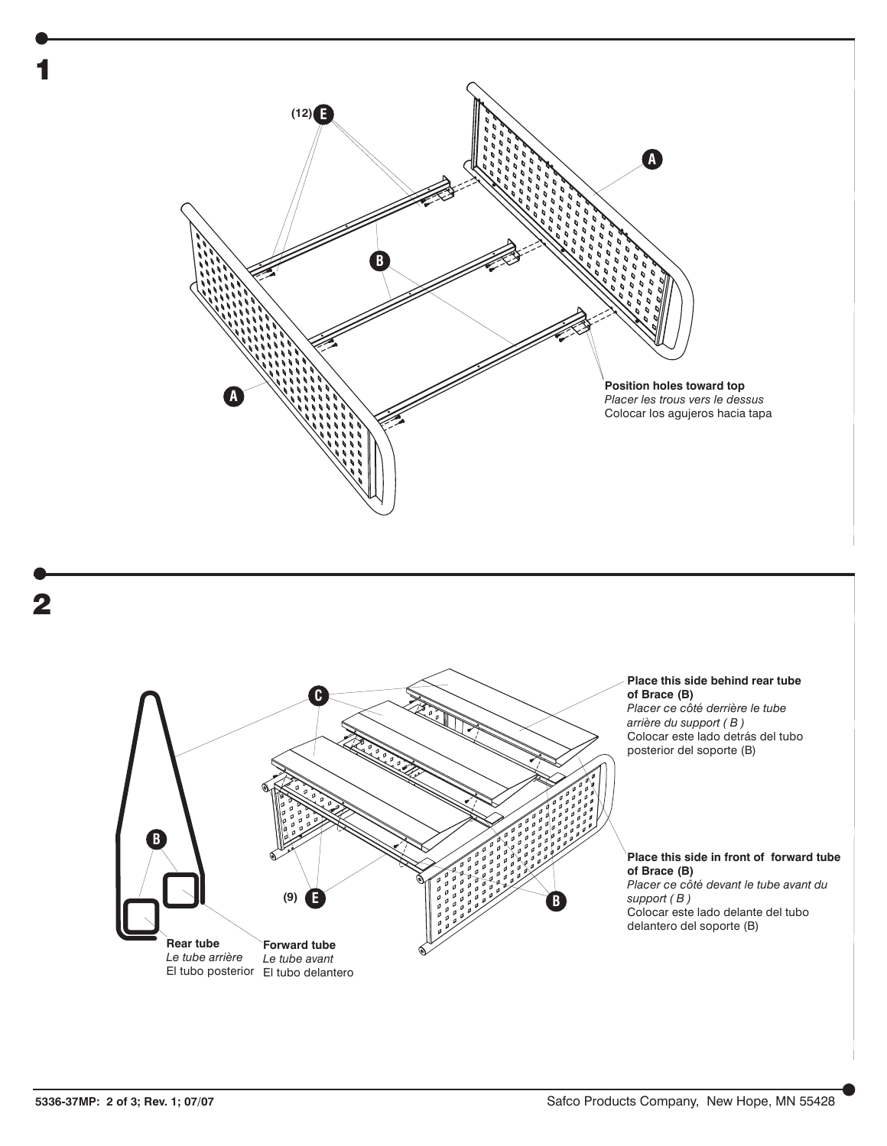

1